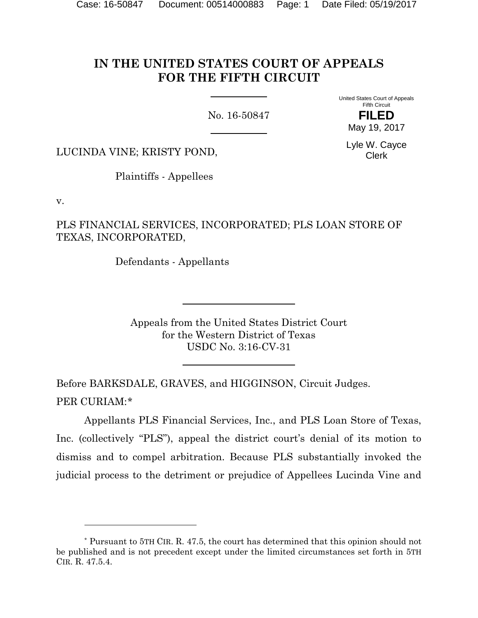# **IN THE UNITED STATES COURT OF APPEALS FOR THE FIFTH CIRCUIT**

No. 16-50847

United States Court of Appeals Fifth Circuit

> **FILED** May 19, 2017

Lyle W. Cayce Clerk

LUCINDA VINE; KRISTY POND,

Plaintiffs - Appellees

v.

l

PLS FINANCIAL SERVICES, INCORPORATED; PLS LOAN STORE OF TEXAS, INCORPORATED,

Defendants - Appellants

Appeals from the United States District Court for the Western District of Texas USDC No. 3:16-CV-31

Before BARKSDALE, GRAVES, and HIGGINSON, Circuit Judges. PER CURIAM:[\\*](#page-0-0)

Appellants PLS Financial Services, Inc., and PLS Loan Store of Texas, Inc. (collectively "PLS"), appeal the district court's denial of its motion to dismiss and to compel arbitration. Because PLS substantially invoked the judicial process to the detriment or prejudice of Appellees Lucinda Vine and

<span id="page-0-0"></span><sup>\*</sup> Pursuant to 5TH CIR. R. 47.5, the court has determined that this opinion should not be published and is not precedent except under the limited circumstances set forth in 5TH CIR. R. 47.5.4.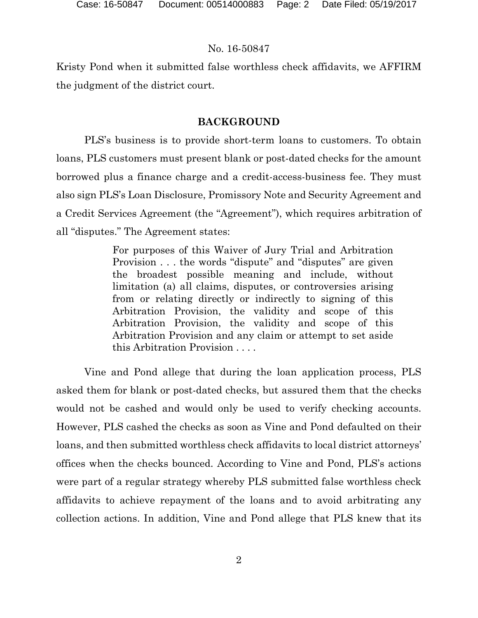Kristy Pond when it submitted false worthless check affidavits, we AFFIRM the judgment of the district court.

### **BACKGROUND**

PLS's business is to provide short-term loans to customers. To obtain loans, PLS customers must present blank or post-dated checks for the amount borrowed plus a finance charge and a credit-access-business fee. They must also sign PLS's Loan Disclosure, Promissory Note and Security Agreement and a Credit Services Agreement (the "Agreement"), which requires arbitration of all "disputes." The Agreement states:

> For purposes of this Waiver of Jury Trial and Arbitration Provision . . . the words "dispute" and "disputes" are given the broadest possible meaning and include, without limitation (a) all claims, disputes, or controversies arising from or relating directly or indirectly to signing of this Arbitration Provision, the validity and scope of this Arbitration Provision, the validity and scope of this Arbitration Provision and any claim or attempt to set aside this Arbitration Provision . . . .

Vine and Pond allege that during the loan application process, PLS asked them for blank or post-dated checks, but assured them that the checks would not be cashed and would only be used to verify checking accounts. However, PLS cashed the checks as soon as Vine and Pond defaulted on their loans, and then submitted worthless check affidavits to local district attorneys' offices when the checks bounced. According to Vine and Pond, PLS's actions were part of a regular strategy whereby PLS submitted false worthless check affidavits to achieve repayment of the loans and to avoid arbitrating any collection actions. In addition, Vine and Pond allege that PLS knew that its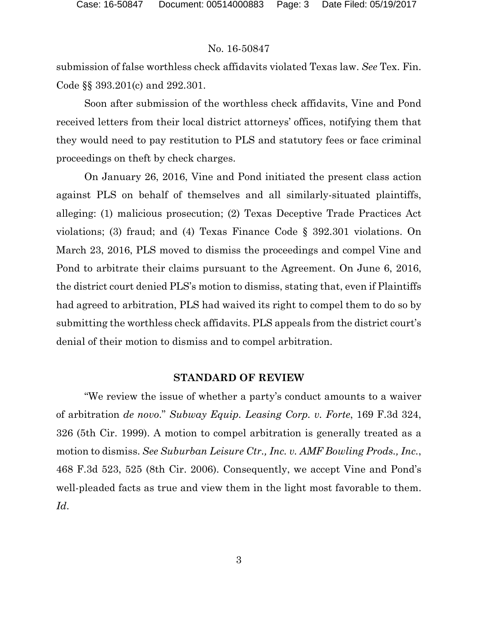submission of false worthless check affidavits violated Texas law. *See* Tex. Fin. Code §§ 393.201(c) and 292.301.

Soon after submission of the worthless check affidavits, Vine and Pond received letters from their local district attorneys' offices, notifying them that they would need to pay restitution to PLS and statutory fees or face criminal proceedings on theft by check charges.

On January 26, 2016, Vine and Pond initiated the present class action against PLS on behalf of themselves and all similarly-situated plaintiffs, alleging: (1) malicious prosecution; (2) Texas Deceptive Trade Practices Act violations; (3) fraud; and (4) Texas Finance Code § 392.301 violations. On March 23, 2016, PLS moved to dismiss the proceedings and compel Vine and Pond to arbitrate their claims pursuant to the Agreement. On June 6, 2016, the district court denied PLS's motion to dismiss, stating that, even if Plaintiffs had agreed to arbitration, PLS had waived its right to compel them to do so by submitting the worthless check affidavits. PLS appeals from the district court's denial of their motion to dismiss and to compel arbitration.

#### **STANDARD OF REVIEW**

"We review the issue of whether a party's conduct amounts to a waiver of arbitration *de novo*." *Subway Equip. Leasing Corp. v. Forte*, 169 F.3d 324, 326 (5th Cir. 1999). A motion to compel arbitration is generally treated as a motion to dismiss. *See Suburban Leisure Ctr., Inc. v. AMF Bowling Prods., Inc.*, 468 F.3d 523, 525 (8th Cir. 2006). Consequently, we accept Vine and Pond's well-pleaded facts as true and view them in the light most favorable to them. *Id*.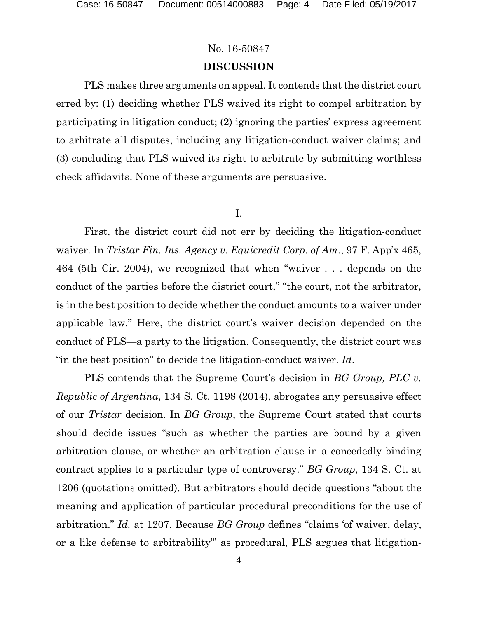## **DISCUSSION**

PLS makes three arguments on appeal. It contends that the district court erred by: (1) deciding whether PLS waived its right to compel arbitration by participating in litigation conduct; (2) ignoring the parties' express agreement to arbitrate all disputes, including any litigation-conduct waiver claims; and (3) concluding that PLS waived its right to arbitrate by submitting worthless check affidavits. None of these arguments are persuasive.

#### I.

First, the district court did not err by deciding the litigation-conduct waiver. In *Tristar Fin. Ins. Agency v. Equicredit Corp. of Am.*, 97 F. App'x 465, 464 (5th Cir. 2004), we recognized that when "waiver . . . depends on the conduct of the parties before the district court," "the court, not the arbitrator, is in the best position to decide whether the conduct amounts to a waiver under applicable law." Here, the district court's waiver decision depended on the conduct of PLS—a party to the litigation. Consequently, the district court was "in the best position" to decide the litigation-conduct waiver. *Id*.

PLS contends that the Supreme Court's decision in *BG Group, PLC v. Republic of Argentina*, 134 S. Ct. 1198 (2014), abrogates any persuasive effect of our *Tristar* decision. In *BG Group*, the Supreme Court stated that courts should decide issues "such as whether the parties are bound by a given arbitration clause, or whether an arbitration clause in a concededly binding contract applies to a particular type of controversy." *BG Group*, 134 S. Ct. at 1206 (quotations omitted). But arbitrators should decide questions "about the meaning and application of particular procedural preconditions for the use of arbitration." *Id.* at 1207. Because *BG Group* defines "claims 'of waiver, delay, or a like defense to arbitrability'" as procedural, PLS argues that litigation-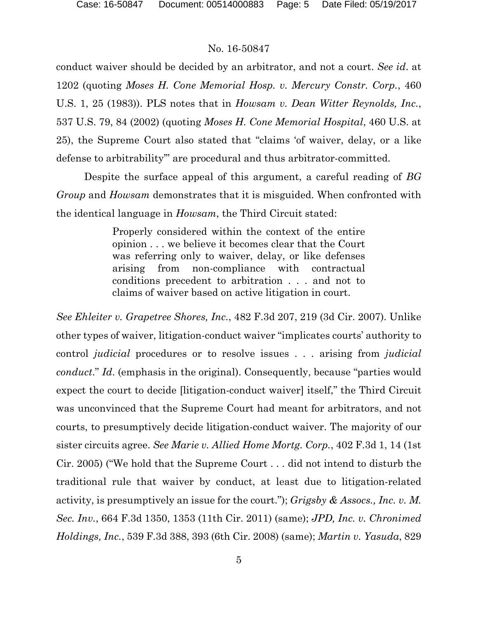conduct waiver should be decided by an arbitrator, and not a court. *See id*. at 1202 (quoting *Moses H. Cone Memorial Hosp. v. Mercury Constr. Corp.*, 460 U.S. 1, 25 (1983)). PLS notes that in *Howsam v. Dean Witter Reynolds, Inc.*, 537 U.S. 79, 84 (2002) (quoting *Moses H. Cone Memorial Hospital*, 460 U.S. at 25), the Supreme Court also stated that "claims 'of waiver, delay, or a like defense to arbitrability'" are procedural and thus arbitrator-committed.

Despite the surface appeal of this argument, a careful reading of *BG Group* and *Howsam* demonstrates that it is misguided. When confronted with the identical language in *Howsam*, the Third Circuit stated:

> Properly considered within the context of the entire opinion . . . we believe it becomes clear that the Court was referring only to waiver, delay, or like defenses arising from non-compliance with contractual conditions precedent to arbitration . . . and not to claims of waiver based on active litigation in court.

*See Ehleiter v. Grapetree Shores, Inc.*, 482 F.3d 207, 219 (3d Cir. 2007). Unlike other types of waiver, litigation-conduct waiver "implicates courts' authority to control *judicial* procedures or to resolve issues . . . arising from *judicial conduct*." *Id*. (emphasis in the original). Consequently, because "parties would expect the court to decide [litigation-conduct waiver] itself," the Third Circuit was unconvinced that the Supreme Court had meant for arbitrators, and not courts, to presumptively decide litigation-conduct waiver. The majority of our sister circuits agree. *See Marie v. Allied Home Mortg. Corp.*, 402 F.3d 1, 14 (1st Cir. 2005) ("We hold that the Supreme Court . . . did not intend to disturb the traditional rule that waiver by conduct, at least due to litigation-related activity, is presumptively an issue for the court."); *Grigsby & Assocs., Inc. v. M. Sec. Inv.*, 664 F.3d 1350, 1353 (11th Cir. 2011) (same); *JPD, Inc. v. Chronimed Holdings, Inc.*, 539 F.3d 388, 393 (6th Cir. 2008) (same); *Martin v. Yasuda*, 829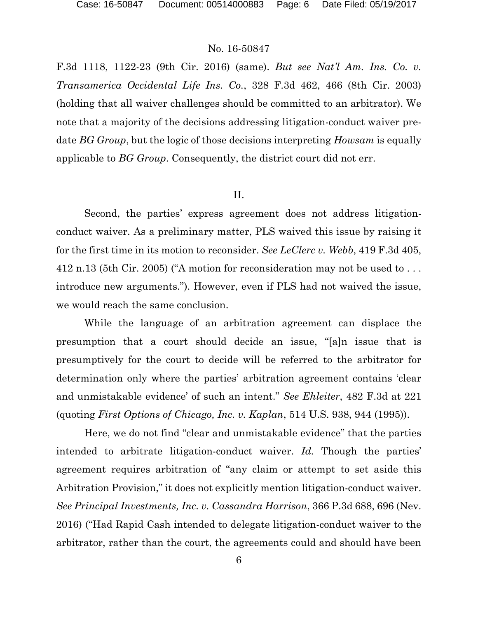F.3d 1118, 1122-23 (9th Cir. 2016) (same). *But see Nat'l Am. Ins. Co. v. Transamerica Occidental Life Ins. Co.*, 328 F.3d 462, 466 (8th Cir. 2003) (holding that all waiver challenges should be committed to an arbitrator). We note that a majority of the decisions addressing litigation-conduct waiver predate *BG Group*, but the logic of those decisions interpreting *Howsam* is equally applicable to *BG Group*. Consequently, the district court did not err.

#### II.

Second, the parties' express agreement does not address litigationconduct waiver. As a preliminary matter, PLS waived this issue by raising it for the first time in its motion to reconsider. *See LeClerc v. Webb*, 419 F.3d 405, 412 n.13 (5th Cir. 2005) ("A motion for reconsideration may not be used to . . . introduce new arguments."). However, even if PLS had not waived the issue, we would reach the same conclusion.

While the language of an arbitration agreement can displace the presumption that a court should decide an issue, "[a]n issue that is presumptively for the court to decide will be referred to the arbitrator for determination only where the parties' arbitration agreement contains 'clear and unmistakable evidence' of such an intent." *See Ehleiter*, 482 F.3d at 221 (quoting *First Options of Chicago, Inc. v. Kaplan*, 514 U.S. 938, 944 (1995)).

Here, we do not find "clear and unmistakable evidence" that the parties intended to arbitrate litigation-conduct waiver. *Id.* Though the parties' agreement requires arbitration of "any claim or attempt to set aside this Arbitration Provision," it does not explicitly mention litigation-conduct waiver. *See Principal Investments, Inc. v. Cassandra Harrison*, 366 P.3d 688, 696 (Nev. 2016) ("Had Rapid Cash intended to delegate litigation-conduct waiver to the arbitrator, rather than the court, the agreements could and should have been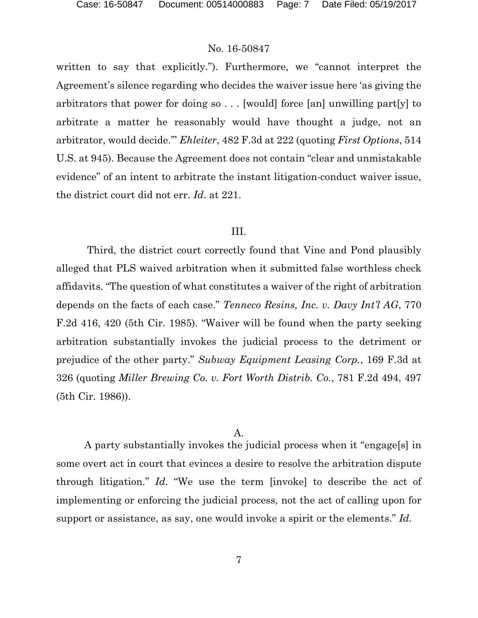written to say that explicitly."). Furthermore, we "cannot interpret the Agreement's silence regarding who decides the waiver issue here 'as giving the arbitrators that power for doing so . . . [would] force [an] unwilling part[y] to arbitrate a matter he reasonably would have thought a judge, not an arbitrator, would decide.'" *Ehleiter*, 482 F.3d at 222 (quoting *First Options*, 514 U.S. at 945). Because the Agreement does not contain "clear and unmistakable evidence" of an intent to arbitrate the instant litigation-conduct waiver issue, the district court did not err. *Id*. at 221.

#### III.

Third, the district court correctly found that Vine and Pond plausibly alleged that PLS waived arbitration when it submitted false worthless check affidavits. "The question of what constitutes a waiver of the right of arbitration depends on the facts of each case." *Tenneco Resins, Inc. v. Davy Int'l AG*, 770 F.2d 416, 420 (5th Cir. 1985). "Waiver will be found when the party seeking arbitration substantially invokes the judicial process to the detriment or prejudice of the other party." *Subway Equipment Leasing Corp.*, 169 F.3d at 326 (quoting *Miller Brewing Co. v. Fort Worth Distrib. Co.*, 781 F.2d 494, 497 (5th Cir. 1986)).

#### A.

A party substantially invokes the judicial process when it "engage[s] in some overt act in court that evinces a desire to resolve the arbitration dispute through litigation." *Id*. "We use the term [invoke] to describe the act of implementing or enforcing the judicial process, not the act of calling upon for support or assistance, as say, one would invoke a spirit or the elements." *Id.*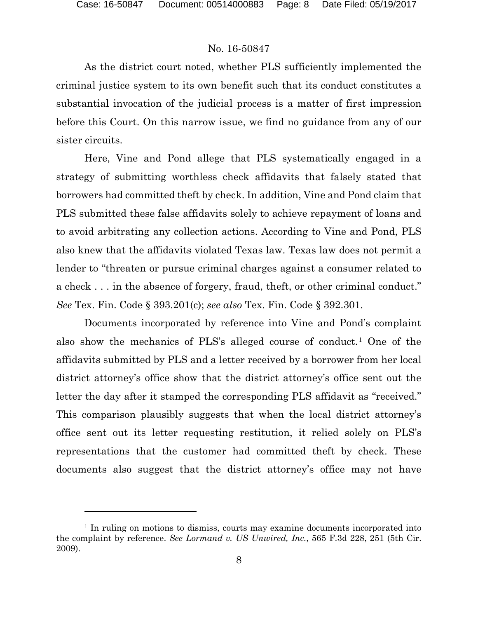l

#### No. 16-50847

As the district court noted, whether PLS sufficiently implemented the criminal justice system to its own benefit such that its conduct constitutes a substantial invocation of the judicial process is a matter of first impression before this Court. On this narrow issue, we find no guidance from any of our sister circuits.

Here, Vine and Pond allege that PLS systematically engaged in a strategy of submitting worthless check affidavits that falsely stated that borrowers had committed theft by check. In addition, Vine and Pond claim that PLS submitted these false affidavits solely to achieve repayment of loans and to avoid arbitrating any collection actions. According to Vine and Pond, PLS also knew that the affidavits violated Texas law. Texas law does not permit a lender to "threaten or pursue criminal charges against a consumer related to a check . . . in the absence of forgery, fraud, theft, or other criminal conduct." *See* Tex. Fin. Code § 393.201(c); *see also* Tex. Fin. Code § 392.301.

Documents incorporated by reference into Vine and Pond's complaint also show the mechanics of PLS's alleged course of conduct.[1](#page-7-0) One of the affidavits submitted by PLS and a letter received by a borrower from her local district attorney's office show that the district attorney's office sent out the letter the day after it stamped the corresponding PLS affidavit as "received." This comparison plausibly suggests that when the local district attorney's office sent out its letter requesting restitution, it relied solely on PLS's representations that the customer had committed theft by check. These documents also suggest that the district attorney's office may not have

<span id="page-7-0"></span><sup>&</sup>lt;sup>1</sup> In ruling on motions to dismiss, courts may examine documents incorporated into the complaint by reference. *See Lormand v. US Unwired, Inc.*, 565 F.3d 228, 251 (5th Cir. 2009).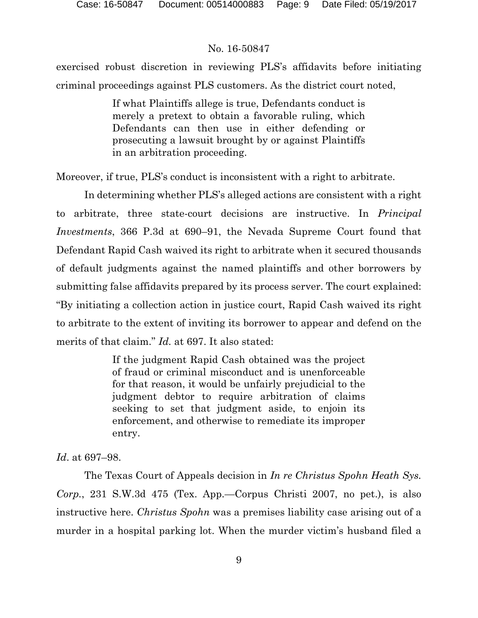exercised robust discretion in reviewing PLS's affidavits before initiating criminal proceedings against PLS customers. As the district court noted,

> If what Plaintiffs allege is true, Defendants conduct is merely a pretext to obtain a favorable ruling, which Defendants can then use in either defending or prosecuting a lawsuit brought by or against Plaintiffs in an arbitration proceeding.

Moreover, if true, PLS's conduct is inconsistent with a right to arbitrate.

In determining whether PLS's alleged actions are consistent with a right to arbitrate, three state-court decisions are instructive. In *Principal Investments*, 366 P.3d at 690–91, the Nevada Supreme Court found that Defendant Rapid Cash waived its right to arbitrate when it secured thousands of default judgments against the named plaintiffs and other borrowers by submitting false affidavits prepared by its process server. The court explained: "By initiating a collection action in justice court, Rapid Cash waived its right to arbitrate to the extent of inviting its borrower to appear and defend on the merits of that claim." *Id.* at 697. It also stated:

> If the judgment Rapid Cash obtained was the project of fraud or criminal misconduct and is unenforceable for that reason, it would be unfairly prejudicial to the judgment debtor to require arbitration of claims seeking to set that judgment aside, to enjoin its enforcement, and otherwise to remediate its improper entry.

#### *Id*. at 697–98.

The Texas Court of Appeals decision in *In re Christus Spohn Heath Sys. Corp.*, 231 S.W.3d 475 (Tex. App.—Corpus Christi 2007, no pet.), is also instructive here. *Christus Spohn* was a premises liability case arising out of a murder in a hospital parking lot. When the murder victim's husband filed a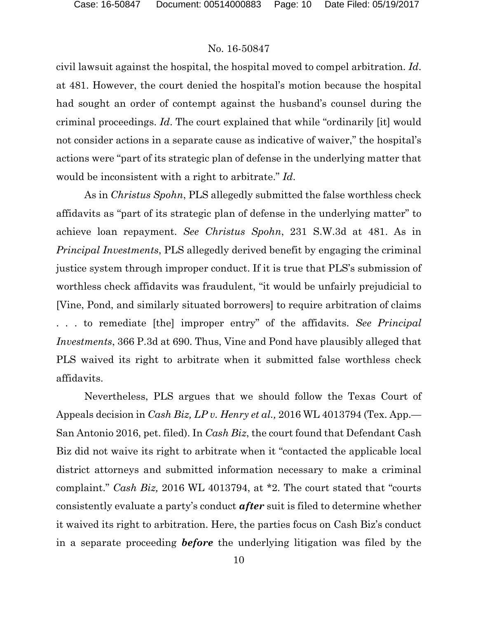civil lawsuit against the hospital, the hospital moved to compel arbitration. *Id*. at 481. However, the court denied the hospital's motion because the hospital had sought an order of contempt against the husband's counsel during the criminal proceedings. *Id*. The court explained that while "ordinarily [it] would not consider actions in a separate cause as indicative of waiver," the hospital's actions were "part of its strategic plan of defense in the underlying matter that would be inconsistent with a right to arbitrate." *Id*.

As in *Christus Spohn*, PLS allegedly submitted the false worthless check affidavits as "part of its strategic plan of defense in the underlying matter" to achieve loan repayment. *See Christus Spohn*, 231 S.W.3d at 481. As in *Principal Investments*, PLS allegedly derived benefit by engaging the criminal justice system through improper conduct. If it is true that PLS's submission of worthless check affidavits was fraudulent, "it would be unfairly prejudicial to [Vine, Pond, and similarly situated borrowers] to require arbitration of claims . . . to remediate [the] improper entry" of the affidavits. *See Principal Investments*, 366 P.3d at 690. Thus, Vine and Pond have plausibly alleged that PLS waived its right to arbitrate when it submitted false worthless check affidavits.

Nevertheless, PLS argues that we should follow the Texas Court of Appeals decision in *Cash Biz, LP v. Henry et al.,* 2016 WL 4013794 (Tex. App.— San Antonio 2016, pet. filed). In *Cash Biz*, the court found that Defendant Cash Biz did not waive its right to arbitrate when it "contacted the applicable local district attorneys and submitted information necessary to make a criminal complaint." *Cash Biz,* 2016 WL 4013794, at \*2. The court stated that "courts consistently evaluate a party's conduct *after* suit is filed to determine whether it waived its right to arbitration. Here, the parties focus on Cash Biz's conduct in a separate proceeding *before* the underlying litigation was filed by the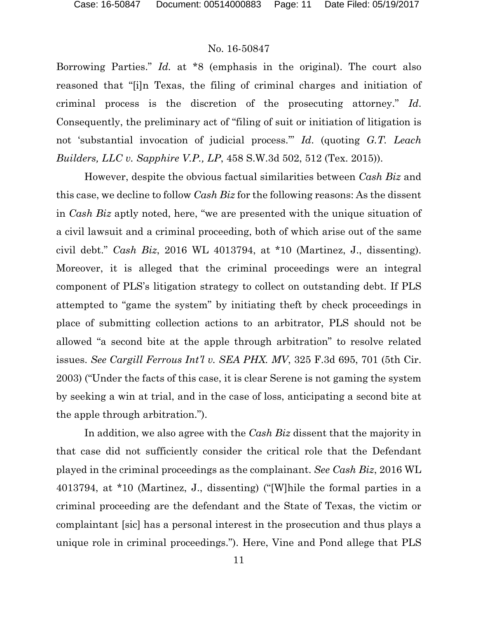Borrowing Parties." *Id.* at \*8 (emphasis in the original). The court also reasoned that "[i]n Texas, the filing of criminal charges and initiation of criminal process is the discretion of the prosecuting attorney." *Id*. Consequently, the preliminary act of "filing of suit or initiation of litigation is not 'substantial invocation of judicial process.'" *Id*. (quoting *G.T. Leach Builders, LLC v. Sapphire V.P., LP*, 458 S.W.3d 502, 512 (Tex. 2015)).

However, despite the obvious factual similarities between *Cash Biz* and this case, we decline to follow *Cash Biz* for the following reasons: As the dissent in *Cash Biz* aptly noted, here, "we are presented with the unique situation of a civil lawsuit and a criminal proceeding, both of which arise out of the same civil debt." *Cash Biz*, 2016 WL 4013794, at \*10 (Martinez, J., dissenting). Moreover, it is alleged that the criminal proceedings were an integral component of PLS's litigation strategy to collect on outstanding debt. If PLS attempted to "game the system" by initiating theft by check proceedings in place of submitting collection actions to an arbitrator, PLS should not be allowed "a second bite at the apple through arbitration" to resolve related issues. *See Cargill Ferrous Int'l v. SEA PHX. MV*, 325 F.3d 695, 701 (5th Cir. 2003) ("Under the facts of this case, it is clear Serene is not gaming the system by seeking a win at trial, and in the case of loss, anticipating a second bite at the apple through arbitration.").

In addition, we also agree with the *Cash Biz* dissent that the majority in that case did not sufficiently consider the critical role that the Defendant played in the criminal proceedings as the complainant. *See Cash Biz*, 2016 WL 4013794, at \*10 (Martinez, J., dissenting) ("[W]hile the formal parties in a criminal proceeding are the defendant and the State of Texas, the victim or complaintant [sic] has a personal interest in the prosecution and thus plays a unique role in criminal proceedings."). Here, Vine and Pond allege that PLS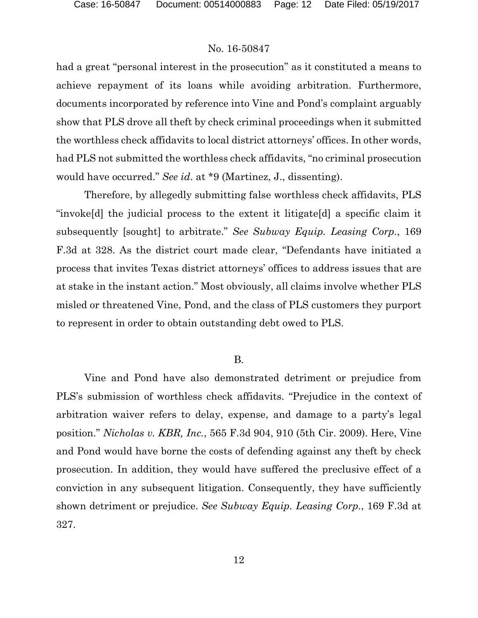had a great "personal interest in the prosecution" as it constituted a means to achieve repayment of its loans while avoiding arbitration. Furthermore, documents incorporated by reference into Vine and Pond's complaint arguably show that PLS drove all theft by check criminal proceedings when it submitted the worthless check affidavits to local district attorneys' offices. In other words, had PLS not submitted the worthless check affidavits, "no criminal prosecution would have occurred." *See id*. at \*9 (Martinez, J., dissenting).

Therefore, by allegedly submitting false worthless check affidavits, PLS "invoke[d] the judicial process to the extent it litigate[d] a specific claim it subsequently [sought] to arbitrate." *See Subway Equip. Leasing Corp.*, 169 F.3d at 328. As the district court made clear, "Defendants have initiated a process that invites Texas district attorneys' offices to address issues that are at stake in the instant action." Most obviously, all claims involve whether PLS misled or threatened Vine, Pond, and the class of PLS customers they purport to represent in order to obtain outstanding debt owed to PLS.

#### B.

Vine and Pond have also demonstrated detriment or prejudice from PLS's submission of worthless check affidavits. "Prejudice in the context of arbitration waiver refers to delay, expense, and damage to a party's legal position." *Nicholas v. KBR, Inc.*, 565 F.3d 904, 910 (5th Cir. 2009). Here, Vine and Pond would have borne the costs of defending against any theft by check prosecution. In addition, they would have suffered the preclusive effect of a conviction in any subsequent litigation. Consequently, they have sufficiently shown detriment or prejudice. *See Subway Equip. Leasing Corp.*, 169 F.3d at 327.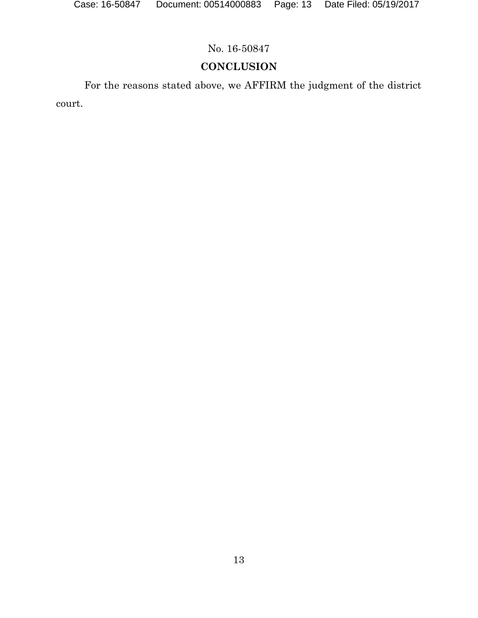# **CONCLUSION**

For the reasons stated above, we AFFIRM the judgment of the district court.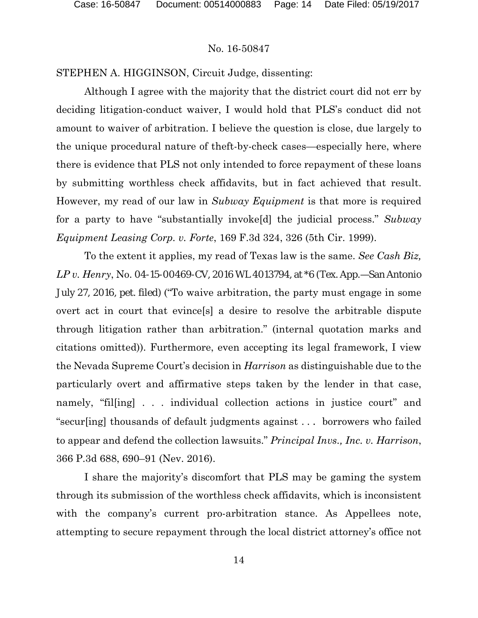STEPHEN A. HIGGINSON, Circuit Judge, dissenting:

Although I agree with the majority that the district court did not err by deciding litigation-conduct waiver, I would hold that PLS's conduct did not amount to waiver of arbitration. I believe the question is close, due largely to the unique procedural nature of theft-by-check cases—especially here, where there is evidence that PLS not only intended to force repayment of these loans by submitting worthless check affidavits, but in fact achieved that result. However, my read of our law in *Subway Equipment* is that more is required for a party to have "substantially invoke[d] the judicial process." *Subway Equipment Leasing Corp. v. Forte*, 169 F.3d 324, 326 (5th Cir. 1999).

To the extent it applies, my read of Texas law is the same. *See Cash Biz, LP v. Henry*, No. 04-15-00469-CV, 2016 WL 4013794, at \*6 (Tex. App.—San Antonio July 27, 2016, pet. filed) ("To waive arbitration, the party must engage in some overt act in court that evince[s] a desire to resolve the arbitrable dispute through litigation rather than arbitration." (internal quotation marks and citations omitted)). Furthermore, even accepting its legal framework, I view the Nevada Supreme Court's decision in *Harrison* as distinguishable due to the particularly overt and affirmative steps taken by the lender in that case, namely, "filling  $\ldots$  individual collection actions in justice court" and "secur[ing] thousands of default judgments against . . . borrowers who failed to appear and defend the collection lawsuits." *Principal Invs., Inc. v. Harrison*, 366 P.3d 688, 690–91 (Nev. 2016).

I share the majority's discomfort that PLS may be gaming the system through its submission of the worthless check affidavits, which is inconsistent with the company's current pro-arbitration stance. As Appellees note, attempting to secure repayment through the local district attorney's office not